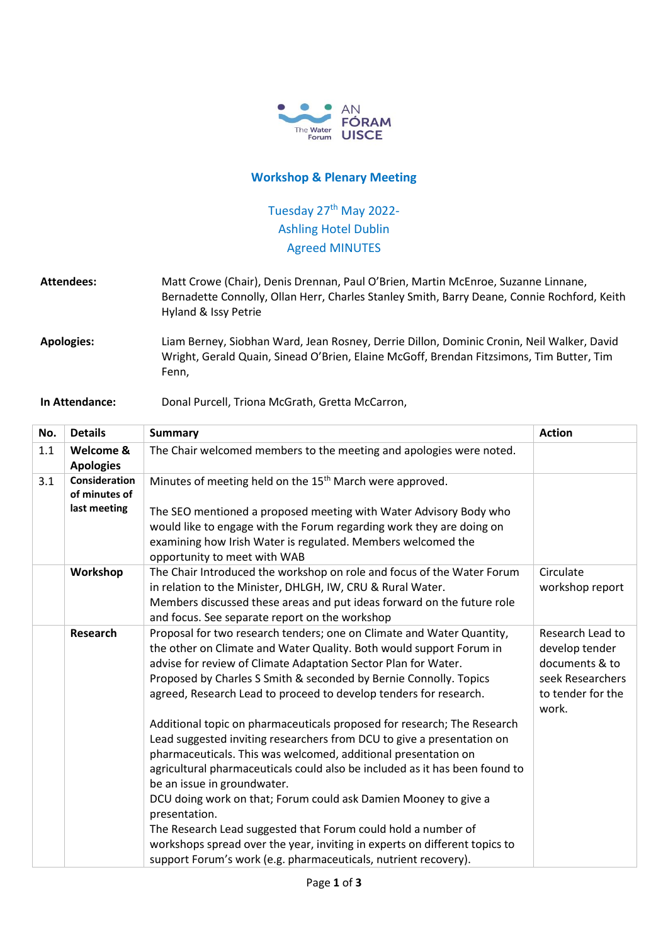

## **Workshop & Plenary Meeting**

## Tuesday 27<sup>th</sup> May 2022-Ashling Hotel Dublin Agreed MINUTES

**Attendees:** Matt Crowe (Chair), Denis Drennan, Paul O'Brien, Martin McEnroe, Suzanne Linnane, Bernadette Connolly, Ollan Herr, Charles Stanley Smith, Barry Deane, Connie Rochford, Keith Hyland & Issy Petrie

**Apologies:** Liam Berney, Siobhan Ward, Jean Rosney, Derrie Dillon, Dominic Cronin, Neil Walker, David Wright, Gerald Quain, Sinead O'Brien, Elaine McGoff, Brendan Fitzsimons, Tim Butter, Tim Fenn,

## **In Attendance:** Donal Purcell, Triona McGrath, Gretta McCarron,

| No. | <b>Details</b>                        | <b>Summary</b>                                                                                                                                | <b>Action</b>                |
|-----|---------------------------------------|-----------------------------------------------------------------------------------------------------------------------------------------------|------------------------------|
| 1.1 | Welcome &<br><b>Apologies</b>         | The Chair welcomed members to the meeting and apologies were noted.                                                                           |                              |
| 3.1 | <b>Consideration</b><br>of minutes of | Minutes of meeting held on the 15 <sup>th</sup> March were approved.                                                                          |                              |
|     | last meeting                          | The SEO mentioned a proposed meeting with Water Advisory Body who                                                                             |                              |
|     |                                       | would like to engage with the Forum regarding work they are doing on                                                                          |                              |
|     |                                       | examining how Irish Water is regulated. Members welcomed the<br>opportunity to meet with WAB                                                  |                              |
|     | Workshop                              | The Chair Introduced the workshop on role and focus of the Water Forum<br>in relation to the Minister, DHLGH, IW, CRU & Rural Water.          | Circulate<br>workshop report |
|     |                                       | Members discussed these areas and put ideas forward on the future role                                                                        |                              |
|     |                                       | and focus. See separate report on the workshop                                                                                                |                              |
|     | <b>Research</b>                       | Proposal for two research tenders; one on Climate and Water Quantity,                                                                         | Research Lead to             |
|     |                                       | the other on Climate and Water Quality. Both would support Forum in                                                                           | develop tender               |
|     |                                       | advise for review of Climate Adaptation Sector Plan for Water.                                                                                | documents & to               |
|     |                                       | Proposed by Charles S Smith & seconded by Bernie Connolly. Topics                                                                             | seek Researchers             |
|     |                                       | agreed, Research Lead to proceed to develop tenders for research.                                                                             | to tender for the<br>work.   |
|     |                                       | Additional topic on pharmaceuticals proposed for research; The Research                                                                       |                              |
|     |                                       | Lead suggested inviting researchers from DCU to give a presentation on                                                                        |                              |
|     |                                       | pharmaceuticals. This was welcomed, additional presentation on                                                                                |                              |
|     |                                       | agricultural pharmaceuticals could also be included as it has been found to                                                                   |                              |
|     |                                       | be an issue in groundwater.                                                                                                                   |                              |
|     |                                       | DCU doing work on that; Forum could ask Damien Mooney to give a                                                                               |                              |
|     |                                       | presentation.                                                                                                                                 |                              |
|     |                                       | The Research Lead suggested that Forum could hold a number of                                                                                 |                              |
|     |                                       | workshops spread over the year, inviting in experts on different topics to<br>support Forum's work (e.g. pharmaceuticals, nutrient recovery). |                              |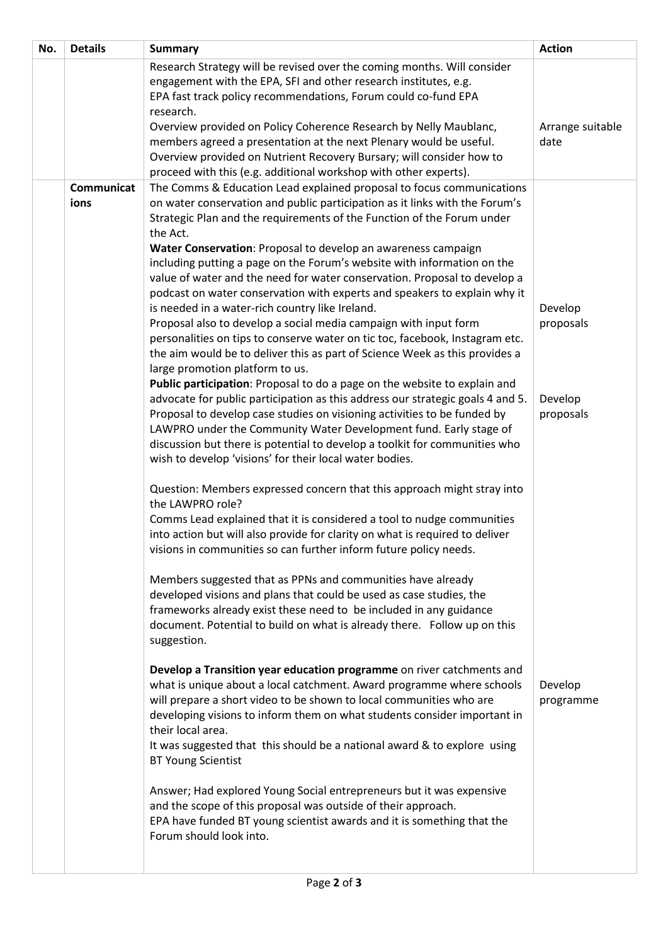| No. | <b>Details</b>     | <b>Summary</b>                                                                                                                                                                                                                                                                                                                                                                                                                                                                                                                                                                                                                                                                                                                                          | <b>Action</b>        |
|-----|--------------------|---------------------------------------------------------------------------------------------------------------------------------------------------------------------------------------------------------------------------------------------------------------------------------------------------------------------------------------------------------------------------------------------------------------------------------------------------------------------------------------------------------------------------------------------------------------------------------------------------------------------------------------------------------------------------------------------------------------------------------------------------------|----------------------|
|     |                    | Research Strategy will be revised over the coming months. Will consider<br>engagement with the EPA, SFI and other research institutes, e.g.<br>EPA fast track policy recommendations, Forum could co-fund EPA<br>research.<br>Overview provided on Policy Coherence Research by Nelly Maublanc,                                                                                                                                                                                                                                                                                                                                                                                                                                                         | Arrange suitable     |
|     |                    | members agreed a presentation at the next Plenary would be useful.<br>Overview provided on Nutrient Recovery Bursary; will consider how to<br>proceed with this (e.g. additional workshop with other experts).                                                                                                                                                                                                                                                                                                                                                                                                                                                                                                                                          | date                 |
|     | Communicat<br>ions | The Comms & Education Lead explained proposal to focus communications<br>on water conservation and public participation as it links with the Forum's<br>Strategic Plan and the requirements of the Function of the Forum under<br>the Act.<br>Water Conservation: Proposal to develop an awareness campaign<br>including putting a page on the Forum's website with information on the<br>value of water and the need for water conservation. Proposal to develop a<br>podcast on water conservation with experts and speakers to explain why it<br>is needed in a water-rich country like Ireland.<br>Proposal also to develop a social media campaign with input form<br>personalities on tips to conserve water on tic toc, facebook, Instagram etc. | Develop<br>proposals |
|     |                    | the aim would be to deliver this as part of Science Week as this provides a<br>large promotion platform to us.<br>Public participation: Proposal to do a page on the website to explain and<br>advocate for public participation as this address our strategic goals 4 and 5.<br>Proposal to develop case studies on visioning activities to be funded by<br>LAWPRO under the Community Water Development fund. Early stage of<br>discussion but there is potential to develop a toolkit for communities who<br>wish to develop 'visions' for their local water bodies.                                                                                                                                                                                 | Develop<br>proposals |
|     |                    | Question: Members expressed concern that this approach might stray into<br>the LAWPRO role?<br>Comms Lead explained that it is considered a tool to nudge communities<br>into action but will also provide for clarity on what is required to deliver<br>visions in communities so can further inform future policy needs.                                                                                                                                                                                                                                                                                                                                                                                                                              |                      |
|     |                    | Members suggested that as PPNs and communities have already<br>developed visions and plans that could be used as case studies, the<br>frameworks already exist these need to be included in any guidance<br>document. Potential to build on what is already there. Follow up on this<br>suggestion.                                                                                                                                                                                                                                                                                                                                                                                                                                                     |                      |
|     |                    | Develop a Transition year education programme on river catchments and<br>what is unique about a local catchment. Award programme where schools<br>will prepare a short video to be shown to local communities who are<br>developing visions to inform them on what students consider important in<br>their local area.<br>It was suggested that this should be a national award & to explore using<br><b>BT Young Scientist</b>                                                                                                                                                                                                                                                                                                                         | Develop<br>programme |
|     |                    | Answer; Had explored Young Social entrepreneurs but it was expensive<br>and the scope of this proposal was outside of their approach.<br>EPA have funded BT young scientist awards and it is something that the<br>Forum should look into.                                                                                                                                                                                                                                                                                                                                                                                                                                                                                                              |                      |